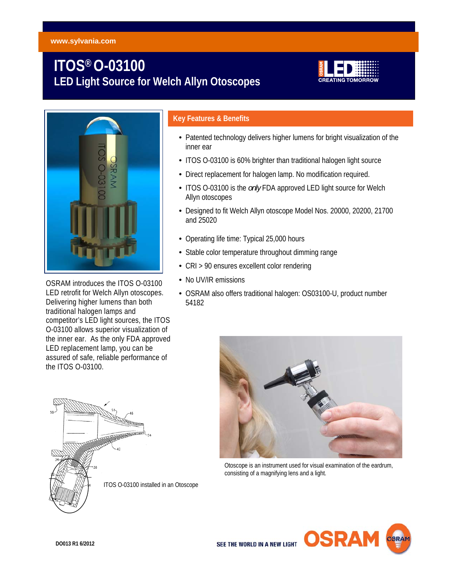## **ITOS® O-03100 LED Light Source for Welch Allyn Otoscopes**





 OSRAM introduces the ITOS O-03100 LED retrofit for Welch Allyn otoscopes. Delivering higher lumens than both traditional halogen lamps and competitor's LED light sources, the ITOS O-03100 allows superior visualization of the inner ear. As the only FDA approved LED replacement lamp, you can be assured of safe, reliable performance of the ITOS O-03100.

## **Key Features & Benefits**

- Patented technology delivers higher lumens for bright visualization of the inner ear
- ITOS O-03100 is 60% brighter than traditional halogen light source
- Direct replacement for halogen lamp. No modification required.
- ITOS O-03100 is the *only* FDA approved LED light source for Welch Allyn otoscopes
- Designed to fit Welch Allyn otoscope Model Nos. 20000, 20200, 21700 and 25020
- Operating life time: Typical 25,000 hours
- Stable color temperature throughout dimming range
- CRI > 90 ensures excellent color rendering
- No UV/IR emissions
- OSRAM also offers traditional halogen: OS03100-U, product number 54182





Otoscope is an instrument used for visual examination of the eardrum, consisting of a magnifying lens and a light.